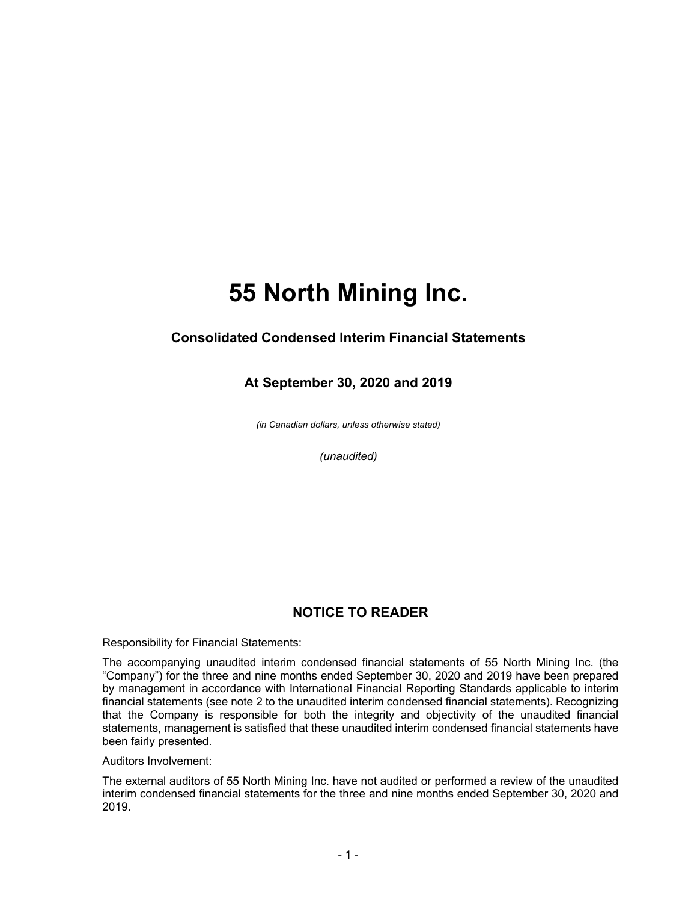### **Consolidated Condensed Interim Financial Statements**

### **At September 30, 2020 and 2019**

*(in Canadian dollars, unless otherwise stated)*

*(unaudited)*

## **NOTICE TO READER**

Responsibility for Financial Statements:

The accompanying unaudited interim condensed financial statements of 55 North Mining Inc. (the "Company") for the three and nine months ended September 30, 2020 and 2019 have been prepared by management in accordance with International Financial Reporting Standards applicable to interim financial statements (see note 2 to the unaudited interim condensed financial statements). Recognizing that the Company is responsible for both the integrity and objectivity of the unaudited financial statements, management is satisfied that these unaudited interim condensed financial statements have been fairly presented.

Auditors Involvement:

The external auditors of 55 North Mining Inc. have not audited or performed a review of the unaudited interim condensed financial statements for the three and nine months ended September 30, 2020 and 2019.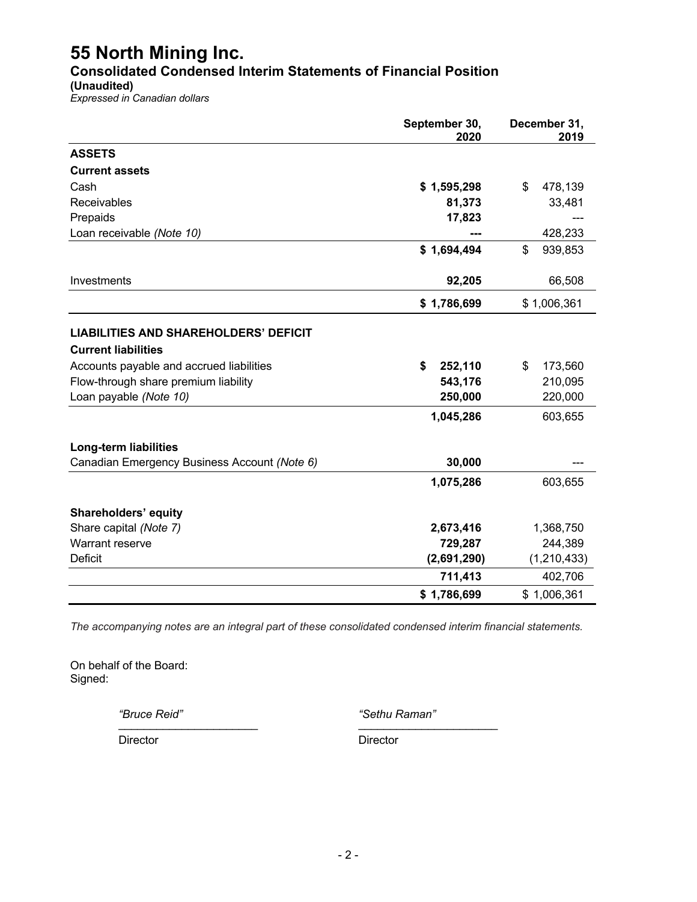**Consolidated Condensed Interim Statements of Financial Position**

**(Unaudited)**

*Expressed in Canadian dollars*

|                                                                                                                                                                                          | September 30,<br>2020                            | December 31,<br>2019                           |  |  |
|------------------------------------------------------------------------------------------------------------------------------------------------------------------------------------------|--------------------------------------------------|------------------------------------------------|--|--|
| <b>ASSETS</b>                                                                                                                                                                            |                                                  |                                                |  |  |
| <b>Current assets</b>                                                                                                                                                                    |                                                  |                                                |  |  |
| Cash                                                                                                                                                                                     | \$1,595,298                                      | 478,139<br>\$                                  |  |  |
| Receivables                                                                                                                                                                              | 81,373                                           | 33,481                                         |  |  |
| Prepaids                                                                                                                                                                                 | 17,823                                           |                                                |  |  |
| Loan receivable (Note 10)                                                                                                                                                                |                                                  | 428,233                                        |  |  |
|                                                                                                                                                                                          | \$1,694,494                                      | \$<br>939,853                                  |  |  |
| Investments                                                                                                                                                                              | 92,205                                           | 66,508                                         |  |  |
|                                                                                                                                                                                          | \$1,786,699                                      | \$1,006,361                                    |  |  |
| <b>LIABILITIES AND SHAREHOLDERS' DEFICIT</b><br><b>Current liabilities</b><br>Accounts payable and accrued liabilities<br>Flow-through share premium liability<br>Loan payable (Note 10) | \$<br>252,110<br>543,176<br>250,000<br>1,045,286 | 173,560<br>\$<br>210,095<br>220,000<br>603,655 |  |  |
| Long-term liabilities<br>Canadian Emergency Business Account (Note 6)                                                                                                                    | 30,000                                           |                                                |  |  |
|                                                                                                                                                                                          | 1,075,286                                        | 603,655                                        |  |  |
| Shareholders' equity                                                                                                                                                                     |                                                  |                                                |  |  |
| Share capital (Note 7)                                                                                                                                                                   | 2,673,416                                        | 1,368,750                                      |  |  |
| Warrant reserve                                                                                                                                                                          | 729,287                                          | 244,389                                        |  |  |
| <b>Deficit</b>                                                                                                                                                                           | (2,691,290)                                      | (1, 210, 433)                                  |  |  |
|                                                                                                                                                                                          | 711,413                                          | 402,706                                        |  |  |
|                                                                                                                                                                                          | \$1,786,699                                      | \$1,006,361                                    |  |  |

*The accompanying notes are an integral part of these consolidated condensed interim financial statements.*

On behalf of the Board: Signed:

*"Bruce Reid" "Sethu Raman"* \_\_\_\_\_\_\_\_\_\_\_\_\_\_\_\_\_\_\_\_\_\_ \_\_\_\_\_\_\_\_\_\_\_\_\_\_\_\_\_\_\_\_\_\_

Director Director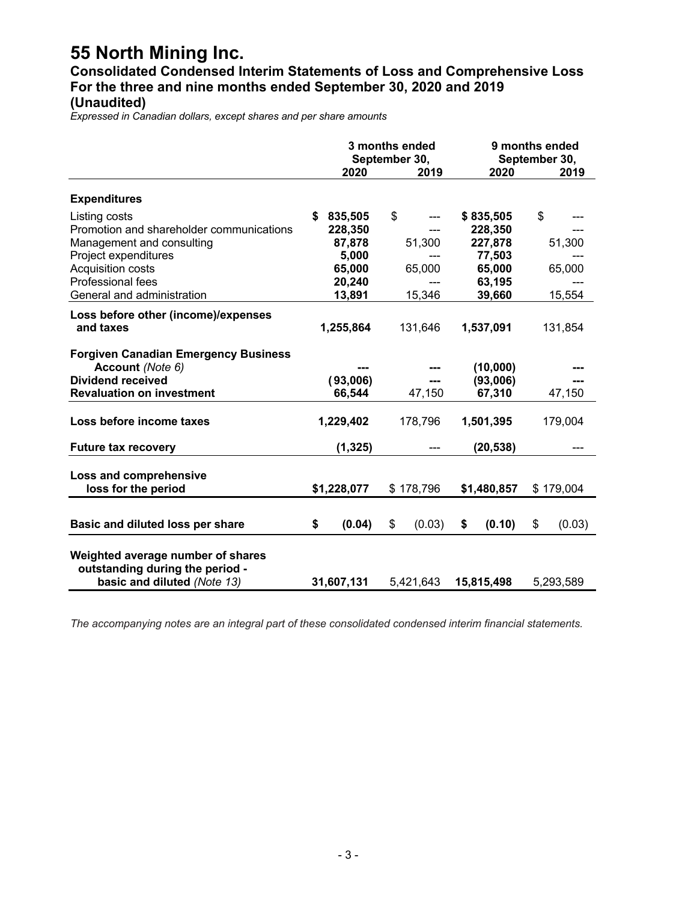**Consolidated Condensed Interim Statements of Loss and Comprehensive Loss For the three and nine months ended September 30, 2020 and 2019 (Unaudited)**

*Expressed in Canadian dollars, except shares and per share amounts*

|                                             | 3 months ended<br>September 30, |             |           | 9 months ended<br>September 30, |    |             |    |           |
|---------------------------------------------|---------------------------------|-------------|-----------|---------------------------------|----|-------------|----|-----------|
|                                             |                                 | 2020        |           | 2019                            |    | 2020        |    | 2019      |
| <b>Expenditures</b>                         |                                 |             |           |                                 |    |             |    |           |
| Listing costs                               | \$                              | 835,505     | \$        |                                 |    | \$835,505   | \$ |           |
| Promotion and shareholder communications    |                                 | 228,350     |           |                                 |    | 228,350     |    |           |
| Management and consulting                   |                                 | 87,878      |           | 51,300                          |    | 227,878     |    | 51,300    |
| Project expenditures                        |                                 | 5,000       |           |                                 |    | 77,503      |    |           |
| <b>Acquisition costs</b>                    |                                 | 65,000      |           | 65,000                          |    | 65,000      |    | 65,000    |
| Professional fees                           |                                 | 20,240      |           |                                 |    | 63,195      |    |           |
| General and administration                  |                                 | 13,891      |           | 15,346                          |    | 39,660      |    | 15,554    |
| Loss before other (income)/expenses         |                                 |             |           |                                 |    |             |    |           |
| and taxes                                   |                                 | 1,255,864   |           | 131,646                         |    | 1,537,091   |    | 131,854   |
|                                             |                                 |             |           |                                 |    |             |    |           |
| <b>Forgiven Canadian Emergency Business</b> |                                 |             |           |                                 |    |             |    |           |
| Account (Note 6)                            |                                 |             |           |                                 |    | (10,000)    |    |           |
| <b>Dividend received</b>                    |                                 | (93,006)    |           | ---                             |    | (93,006)    |    |           |
| <b>Revaluation on investment</b>            |                                 | 66,544      |           | 47,150                          |    | 67,310      |    | 47,150    |
|                                             |                                 |             |           |                                 |    |             |    |           |
| Loss before income taxes                    |                                 | 1,229,402   |           | 178,796                         |    | 1,501,395   |    | 179,004   |
|                                             |                                 |             |           |                                 |    |             |    |           |
| <b>Future tax recovery</b>                  |                                 | (1, 325)    |           |                                 |    | (20, 538)   |    |           |
|                                             |                                 |             |           |                                 |    |             |    |           |
| Loss and comprehensive                      |                                 |             |           |                                 |    |             |    |           |
| loss for the period                         |                                 | \$1,228,077 |           | \$178,796                       |    | \$1,480,857 |    | \$179,004 |
|                                             |                                 |             |           |                                 |    |             |    |           |
| Basic and diluted loss per share            | \$                              | (0.04)      | \$        | (0.03)                          | \$ | (0.10)      | \$ | (0.03)    |
|                                             |                                 |             |           |                                 |    |             |    |           |
| Weighted average number of shares           |                                 |             |           |                                 |    |             |    |           |
| outstanding during the period -             |                                 |             |           |                                 |    |             |    |           |
| basic and diluted (Note 13)                 |                                 | 31,607,131  | 5,421,643 |                                 |    | 15,815,498  |    | 5,293,589 |

*The accompanying notes are an integral part of these consolidated condensed interim financial statements.*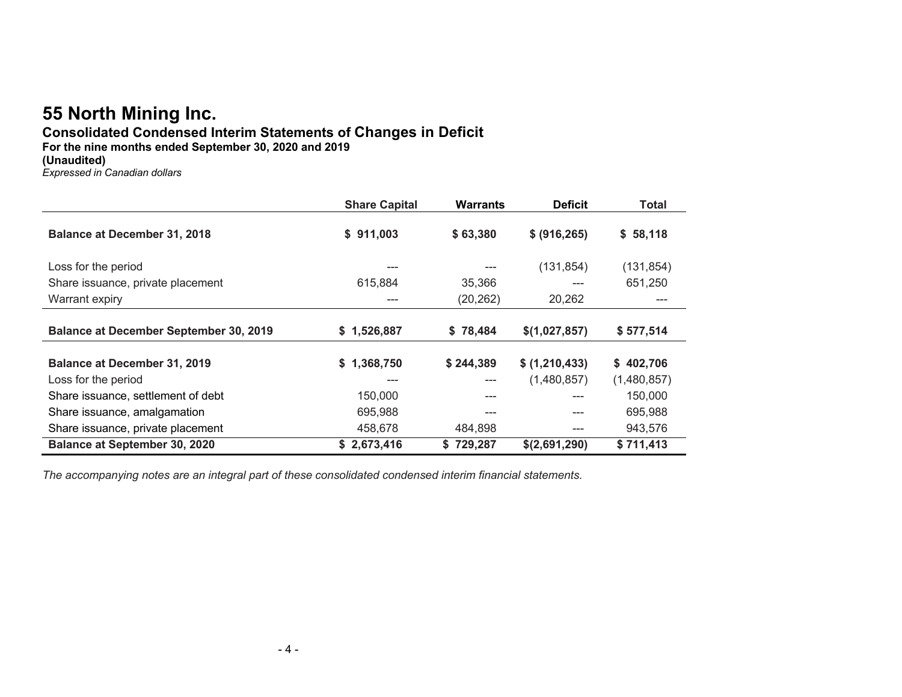## **Consolidated Condensed Interim Statements of Changes in Deficit**

**For the nine months ended September 30, 2020 and 2019**

**(Unaudited)**

*Expressed in Canadian dollars*

|                                               | <b>Share Capital</b> | <b>Warrants</b> | <b>Deficit</b> | Total       |
|-----------------------------------------------|----------------------|-----------------|----------------|-------------|
| <b>Balance at December 31, 2018</b>           | \$911,003            | \$63,380        | \$ (916, 265)  | \$58,118    |
| Loss for the period                           | ---                  |                 | (131, 854)     | (131, 854)  |
| Share issuance, private placement             | 615,884              | 35,366          |                | 651,250     |
| Warrant expiry                                | ---                  | (20, 262)       | 20,262         |             |
| <b>Balance at December September 30, 2019</b> | \$1,526,887          | \$78,484        | \$(1,027,857)  | \$577,514   |
| <b>Balance at December 31, 2019</b>           | \$1,368,750          | \$244,389       | \$ (1,210,433) | \$402,706   |
| Loss for the period                           | ---                  | $---$           | (1,480,857)    | (1,480,857) |
| Share issuance, settlement of debt            | 150,000              |                 |                | 150,000     |
| Share issuance, amalgamation                  | 695,988              | ---             | ---            | 695,988     |
| Share issuance, private placement             | 458.678              | 484.898         | ---            | 943,576     |
| <b>Balance at September 30, 2020</b>          | \$2,673,416          | \$729.287       | \$(2,691,290)  | \$711,413   |

*The accompanying notes are an integral part of these consolidated condensed interim financial statements.*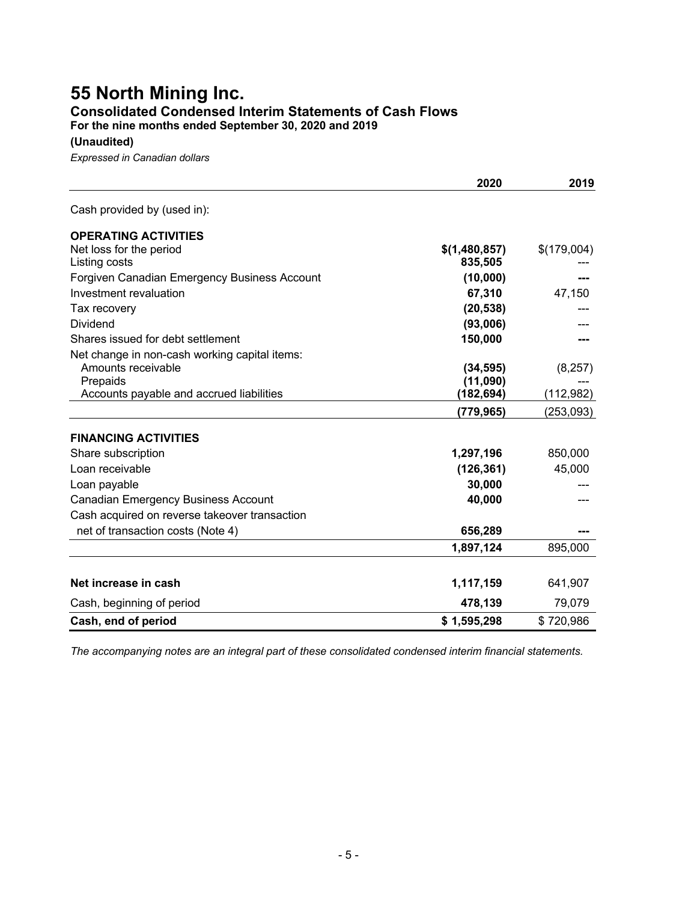## **55 North Mining Inc. Consolidated Condensed Interim Statements of Cash Flows**

**For the nine months ended September 30, 2020 and 2019**

**(Unaudited)**

*Expressed in Canadian dollars*

|                                               | 2020          | 2019        |
|-----------------------------------------------|---------------|-------------|
| Cash provided by (used in):                   |               |             |
| <b>OPERATING ACTIVITIES</b>                   |               |             |
| Net loss for the period                       | \$(1,480,857) | \$(179,004) |
| Listing costs                                 | 835,505       |             |
| Forgiven Canadian Emergency Business Account  | (10,000)      |             |
| Investment revaluation                        | 67,310        | 47,150      |
| Tax recovery                                  | (20, 538)     |             |
| Dividend                                      | (93,006)      |             |
| Shares issued for debt settlement             | 150,000       |             |
| Net change in non-cash working capital items: |               |             |
| Amounts receivable                            | (34, 595)     | (8, 257)    |
| Prepaids                                      | (11,090)      |             |
| Accounts payable and accrued liabilities      | (182,694)     | (112, 982)  |
|                                               | (779,965)     | (253, 093)  |
| <b>FINANCING ACTIVITIES</b>                   |               |             |
| Share subscription                            | 1,297,196     | 850,000     |
| Loan receivable                               | (126, 361)    | 45,000      |
| Loan payable                                  | 30,000        |             |
| <b>Canadian Emergency Business Account</b>    | 40,000        |             |
| Cash acquired on reverse takeover transaction |               |             |
| net of transaction costs (Note 4)             | 656,289       |             |
|                                               | 1,897,124     | 895,000     |
|                                               |               |             |
| Net increase in cash                          | 1,117,159     | 641,907     |
| Cash, beginning of period                     | 478,139       | 79,079      |
| Cash, end of period                           | \$1,595,298   | \$720,986   |

*The accompanying notes are an integral part of these consolidated condensed interim financial statements.*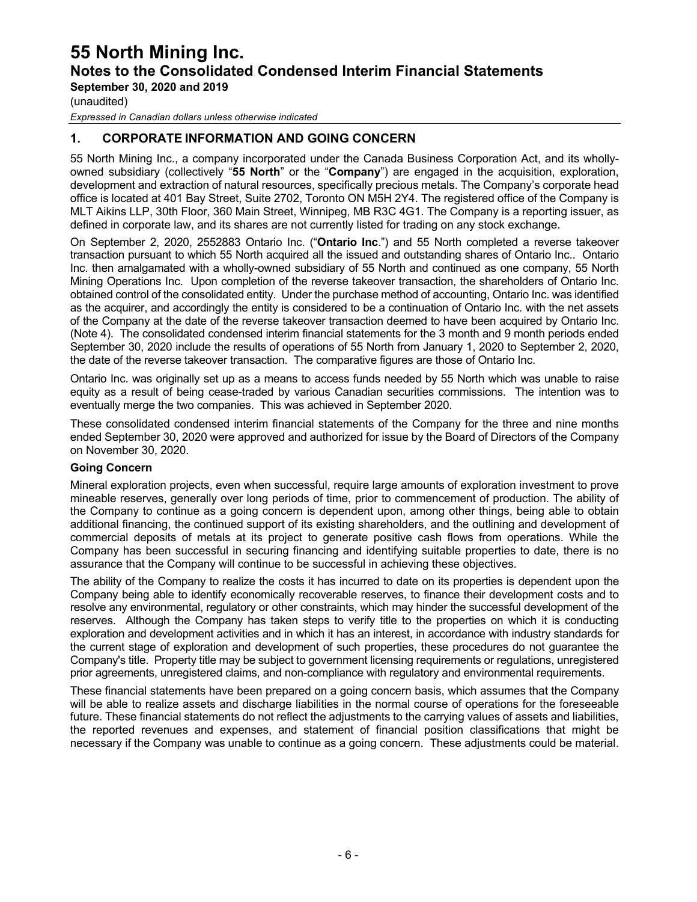**September 30, 2020 and 2019**

(unaudited)

*Expressed in Canadian dollars unless otherwise indicated*

### **1. CORPORATE INFORMATION AND GOING CONCERN**

55 North Mining Inc., a company incorporated under the Canada Business Corporation Act, and its whollyowned subsidiary (collectively "**55 North**" or the "**Company**") are engaged in the acquisition, exploration, development and extraction of natural resources, specifically precious metals. The Company's corporate head office is located at 401 Bay Street, Suite 2702, Toronto ON M5H 2Y4. The registered office of the Company is MLT Aikins LLP, 30th Floor, 360 Main Street, Winnipeg, MB R3C 4G1. The Company is a reporting issuer, as defined in corporate law, and its shares are not currently listed for trading on any stock exchange.

On September 2, 2020, 2552883 Ontario Inc. ("**Ontario Inc**.") and 55 North completed a reverse takeover transaction pursuant to which 55 North acquired all the issued and outstanding shares of Ontario Inc.. Ontario Inc. then amalgamated with a wholly-owned subsidiary of 55 North and continued as one company, 55 North Mining Operations Inc. Upon completion of the reverse takeover transaction, the shareholders of Ontario Inc. obtained control of the consolidated entity. Under the purchase method of accounting, Ontario Inc. was identified as the acquirer, and accordingly the entity is considered to be a continuation of Ontario Inc. with the net assets of the Company at the date of the reverse takeover transaction deemed to have been acquired by Ontario Inc. (Note 4). The consolidated condensed interim financial statements for the 3 month and 9 month periods ended September 30, 2020 include the results of operations of 55 North from January 1, 2020 to September 2, 2020, the date of the reverse takeover transaction. The comparative figures are those of Ontario Inc.

Ontario Inc. was originally set up as a means to access funds needed by 55 North which was unable to raise equity as a result of being cease-traded by various Canadian securities commissions. The intention was to eventually merge the two companies. This was achieved in September 2020.

These consolidated condensed interim financial statements of the Company for the three and nine months ended September 30, 2020 were approved and authorized for issue by the Board of Directors of the Company on November 30, 2020.

#### **Going Concern**

Mineral exploration projects, even when successful, require large amounts of exploration investment to prove mineable reserves, generally over long periods of time, prior to commencement of production. The ability of the Company to continue as a going concern is dependent upon, among other things, being able to obtain additional financing, the continued support of its existing shareholders, and the outlining and development of commercial deposits of metals at its project to generate positive cash flows from operations. While the Company has been successful in securing financing and identifying suitable properties to date, there is no assurance that the Company will continue to be successful in achieving these objectives.

The ability of the Company to realize the costs it has incurred to date on its properties is dependent upon the Company being able to identify economically recoverable reserves, to finance their development costs and to resolve any environmental, regulatory or other constraints, which may hinder the successful development of the reserves. Although the Company has taken steps to verify title to the properties on which it is conducting exploration and development activities and in which it has an interest, in accordance with industry standards for the current stage of exploration and development of such properties, these procedures do not guarantee the Company's title. Property title may be subject to government licensing requirements or regulations, unregistered prior agreements, unregistered claims, and non-compliance with regulatory and environmental requirements.

These financial statements have been prepared on a going concern basis, which assumes that the Company will be able to realize assets and discharge liabilities in the normal course of operations for the foreseeable future. These financial statements do not reflect the adjustments to the carrying values of assets and liabilities, the reported revenues and expenses, and statement of financial position classifications that might be necessary if the Company was unable to continue as a going concern. These adjustments could be material.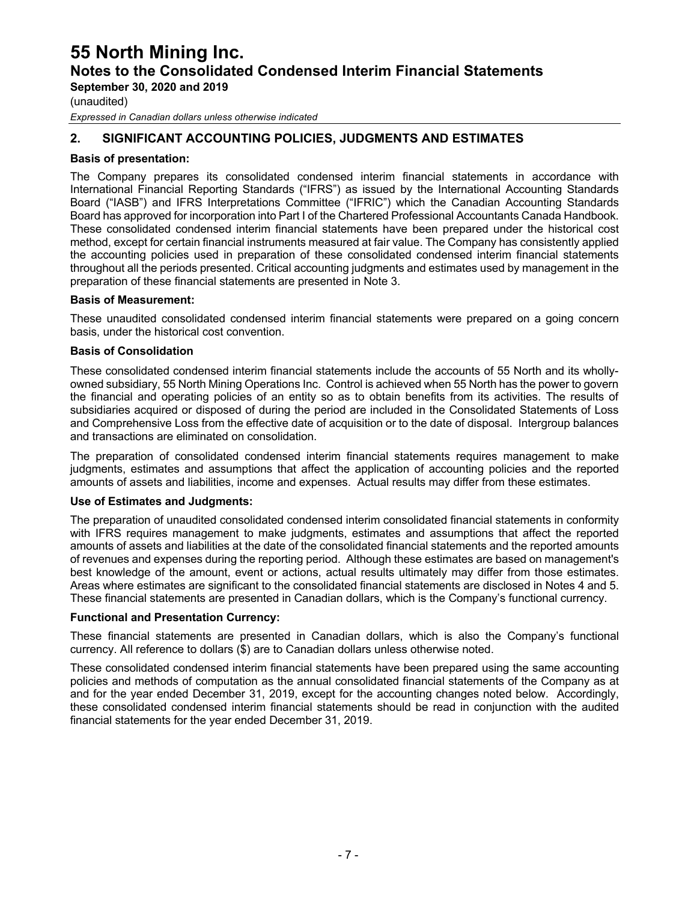**September 30, 2020 and 2019**

(unaudited)

*Expressed in Canadian dollars unless otherwise indicated*

### **2. SIGNIFICANT ACCOUNTING POLICIES, JUDGMENTS AND ESTIMATES**

#### **Basis of presentation:**

The Company prepares its consolidated condensed interim financial statements in accordance with International Financial Reporting Standards ("IFRS") as issued by the International Accounting Standards Board ("IASB") and IFRS Interpretations Committee ("IFRIC") which the Canadian Accounting Standards Board has approved for incorporation into Part I of the Chartered Professional Accountants Canada Handbook. These consolidated condensed interim financial statements have been prepared under the historical cost method, except for certain financial instruments measured at fair value. The Company has consistently applied the accounting policies used in preparation of these consolidated condensed interim financial statements throughout all the periods presented. Critical accounting judgments and estimates used by management in the preparation of these financial statements are presented in Note 3.

#### **Basis of Measurement:**

These unaudited consolidated condensed interim financial statements were prepared on a going concern basis, under the historical cost convention.

#### **Basis of Consolidation**

These consolidated condensed interim financial statements include the accounts of 55 North and its whollyowned subsidiary, 55 North Mining Operations Inc. Control is achieved when 55 North has the power to govern the financial and operating policies of an entity so as to obtain benefits from its activities. The results of subsidiaries acquired or disposed of during the period are included in the Consolidated Statements of Loss and Comprehensive Loss from the effective date of acquisition or to the date of disposal. Intergroup balances and transactions are eliminated on consolidation.

The preparation of consolidated condensed interim financial statements requires management to make judgments, estimates and assumptions that affect the application of accounting policies and the reported amounts of assets and liabilities, income and expenses. Actual results may differ from these estimates.

#### **Use of Estimates and Judgments:**

The preparation of unaudited consolidated condensed interim consolidated financial statements in conformity with IFRS requires management to make judgments, estimates and assumptions that affect the reported amounts of assets and liabilities at the date of the consolidated financial statements and the reported amounts of revenues and expenses during the reporting period. Although these estimates are based on management's best knowledge of the amount, event or actions, actual results ultimately may differ from those estimates. Areas where estimates are significant to the consolidated financial statements are disclosed in Notes 4 and 5. These financial statements are presented in Canadian dollars, which is the Company's functional currency.

#### **Functional and Presentation Currency:**

These financial statements are presented in Canadian dollars, which is also the Company's functional currency. All reference to dollars (\$) are to Canadian dollars unless otherwise noted.

These consolidated condensed interim financial statements have been prepared using the same accounting policies and methods of computation as the annual consolidated financial statements of the Company as at and for the year ended December 31, 2019, except for the accounting changes noted below. Accordingly, these consolidated condensed interim financial statements should be read in conjunction with the audited financial statements for the year ended December 31, 2019.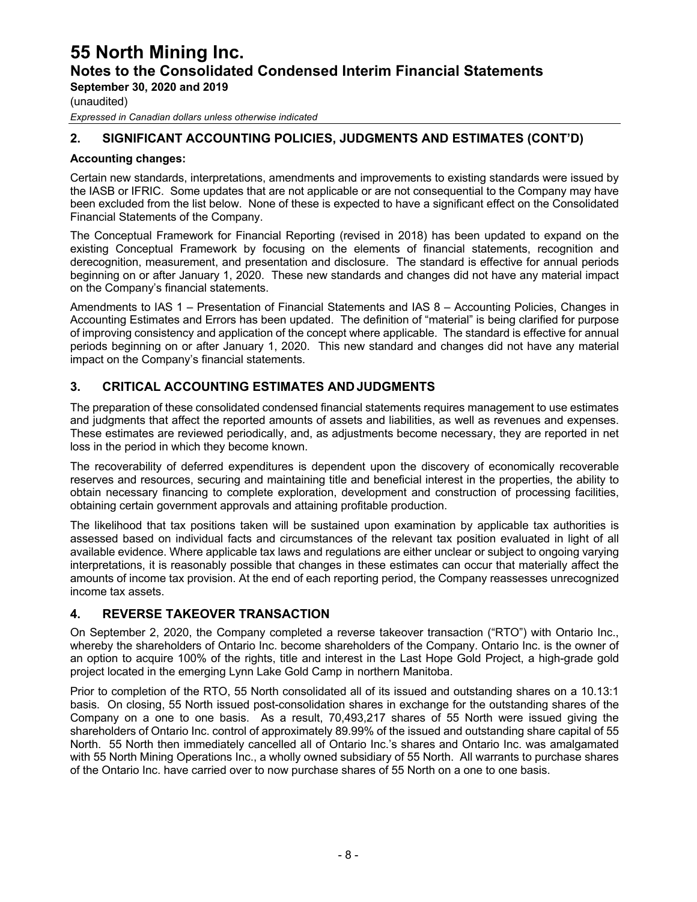**September 30, 2020 and 2019**

(unaudited)

*Expressed in Canadian dollars unless otherwise indicated*

### **2. SIGNIFICANT ACCOUNTING POLICIES, JUDGMENTS AND ESTIMATES (CONT'D)**

#### **Accounting changes:**

Certain new standards, interpretations, amendments and improvements to existing standards were issued by the IASB or IFRIC. Some updates that are not applicable or are not consequential to the Company may have been excluded from the list below. None of these is expected to have a significant effect on the Consolidated Financial Statements of the Company.

The Conceptual Framework for Financial Reporting (revised in 2018) has been updated to expand on the existing Conceptual Framework by focusing on the elements of financial statements, recognition and derecognition, measurement, and presentation and disclosure. The standard is effective for annual periods beginning on or after January 1, 2020. These new standards and changes did not have any material impact on the Company's financial statements.

Amendments to IAS 1 – Presentation of Financial Statements and IAS 8 – Accounting Policies, Changes in Accounting Estimates and Errors has been updated. The definition of "material" is being clarified for purpose of improving consistency and application of the concept where applicable. The standard is effective for annual periods beginning on or after January 1, 2020. This new standard and changes did not have any material impact on the Company's financial statements.

#### **3. CRITICAL ACCOUNTING ESTIMATES ANDJUDGMENTS**

The preparation of these consolidated condensed financial statements requires management to use estimates and judgments that affect the reported amounts of assets and liabilities, as well as revenues and expenses. These estimates are reviewed periodically, and, as adjustments become necessary, they are reported in net loss in the period in which they become known.

The recoverability of deferred expenditures is dependent upon the discovery of economically recoverable reserves and resources, securing and maintaining title and beneficial interest in the properties, the ability to obtain necessary financing to complete exploration, development and construction of processing facilities, obtaining certain government approvals and attaining profitable production.

The likelihood that tax positions taken will be sustained upon examination by applicable tax authorities is assessed based on individual facts and circumstances of the relevant tax position evaluated in light of all available evidence. Where applicable tax laws and regulations are either unclear or subject to ongoing varying interpretations, it is reasonably possible that changes in these estimates can occur that materially affect the amounts of income tax provision. At the end of each reporting period, the Company reassesses unrecognized income tax assets.

#### **4. REVERSE TAKEOVER TRANSACTION**

On September 2, 2020, the Company completed a reverse takeover transaction ("RTO") with Ontario Inc., whereby the shareholders of Ontario Inc. become shareholders of the Company. Ontario Inc. is the owner of an option to acquire 100% of the rights, title and interest in the Last Hope Gold Project, a high-grade gold project located in the emerging Lynn Lake Gold Camp in northern Manitoba.

Prior to completion of the RTO, 55 North consolidated all of its issued and outstanding shares on a 10.13:1 basis. On closing, 55 North issued post-consolidation shares in exchange for the outstanding shares of the Company on a one to one basis. As a result, 70,493,217 shares of 55 North were issued giving the shareholders of Ontario Inc. control of approximately 89.99% of the issued and outstanding share capital of 55 North. 55 North then immediately cancelled all of Ontario Inc.'s shares and Ontario Inc. was amalgamated with 55 North Mining Operations Inc., a wholly owned subsidiary of 55 North. All warrants to purchase shares of the Ontario Inc. have carried over to now purchase shares of 55 North on a one to one basis.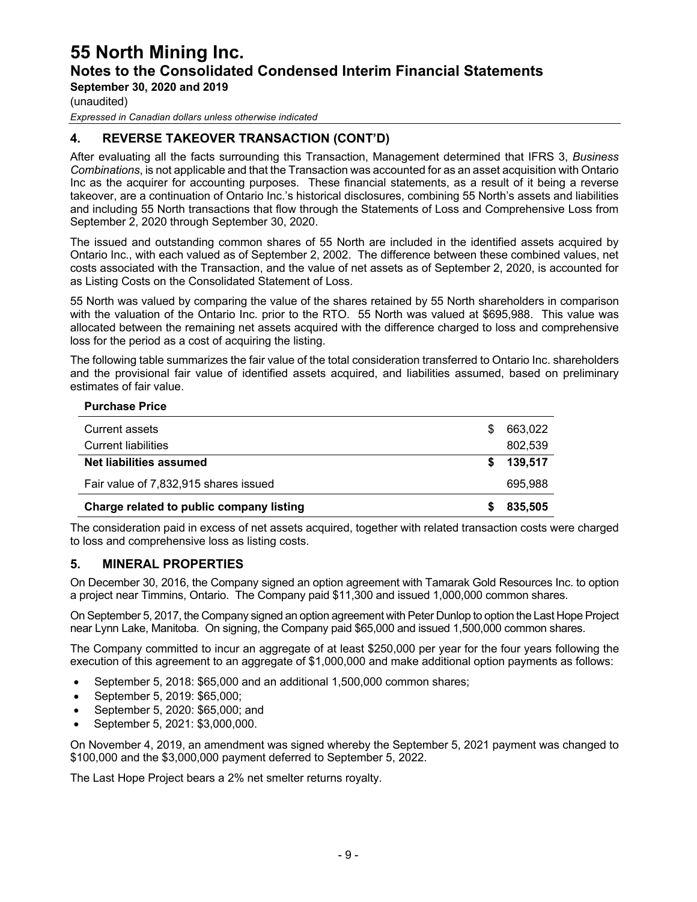**September 30, 2020 and 2019**

(unaudited)

*Expressed in Canadian dollars unless otherwise indicated*

### **4. REVERSE TAKEOVER TRANSACTION (CONT'D)**

After evaluating all the facts surrounding this Transaction, Management determined that IFRS 3, *Business Combinations*, is not applicable and that the Transaction was accounted for as an asset acquisition with Ontario Inc as the acquirer for accounting purposes. These financial statements, as a result of it being a reverse takeover, are a continuation of Ontario Inc.'s historical disclosures, combining 55 North's assets and liabilities and including 55 North transactions that flow through the Statements of Loss and Comprehensive Loss from September 2, 2020 through September 30, 2020.

The issued and outstanding common shares of 55 North are included in the identified assets acquired by Ontario Inc., with each valued as of September 2, 2002. The difference between these combined values, net costs associated with the Transaction, and the value of net assets as of September 2, 2020, is accounted for as Listing Costs on the Consolidated Statement of Loss.

55 North was valued by comparing the value of the shares retained by 55 North shareholders in comparison with the valuation of the Ontario Inc. prior to the RTO. 55 North was valued at \$695,988. This value was allocated between the remaining net assets acquired with the difference charged to loss and comprehensive loss for the period as a cost of acquiring the listing.

The following table summarizes the fair value of the total consideration transferred to Ontario Inc. shareholders and the provisional fair value of identified assets acquired, and liabilities assumed, based on preliminary estimates of fair value.

#### **Purchase Price**

| Charge related to public company listing<br>835,505 |         |
|-----------------------------------------------------|---------|
| Fair value of 7,832,915 shares issued               | 695.988 |
| Net liabilities assumed                             | 139,517 |
| Current liabilities                                 | 802,539 |
| Current assets                                      | 663.022 |

The consideration paid in excess of net assets acquired, together with related transaction costs were charged to loss and comprehensive loss as listing costs.

#### **5. MINERAL PROPERTIES**

On December 30, 2016, the Company signed an option agreement with Tamarak Gold Resources Inc. to option a project near Timmins, Ontario. The Company paid \$11,300 and issued 1,000,000 common shares.

On September 5, 2017, the Company signed an option agreement with Peter Dunlop to option the Last Hope Project near Lynn Lake, Manitoba. On signing, the Company paid \$65,000 and issued 1,500,000 common shares.

The Company committed to incur an aggregate of at least \$250,000 per year for the four years following the execution of this agreement to an aggregate of \$1,000,000 and make additional option payments as follows:

- September 5, 2018: \$65,000 and an additional 1,500,000 common shares;
- September 5, 2019: \$65,000;
- September 5, 2020: \$65,000; and
- September 5, 2021: \$3,000,000.

On November 4, 2019, an amendment was signed whereby the September 5, 2021 payment was changed to \$100,000 and the \$3,000,000 payment deferred to September 5, 2022.

The Last Hope Project bears a 2% net smelter returns royalty.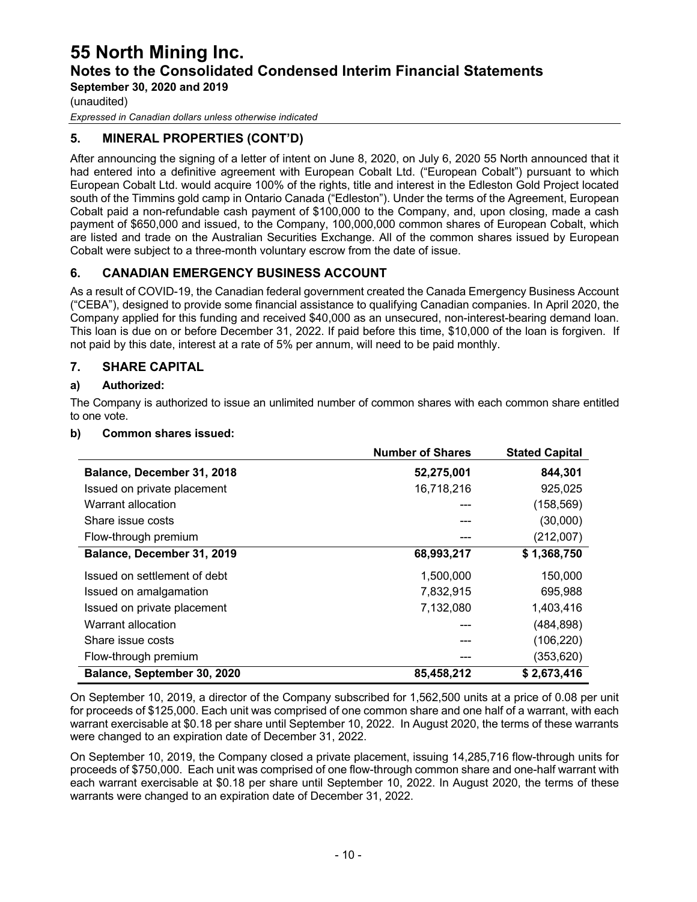**September 30, 2020 and 2019**

(unaudited)

*Expressed in Canadian dollars unless otherwise indicated*

### **5. MINERAL PROPERTIES (CONT'D)**

After announcing the signing of a letter of intent on June 8, 2020, on July 6, 2020 55 North announced that it had entered into a definitive agreement with European Cobalt Ltd. ("European Cobalt") pursuant to which European Cobalt Ltd. would acquire 100% of the rights, title and interest in the Edleston Gold Project located south of the Timmins gold camp in Ontario Canada ("Edleston"). Under the terms of the Agreement, European Cobalt paid a non-refundable cash payment of \$100,000 to the Company, and, upon closing, made a cash payment of \$650,000 and issued, to the Company, 100,000,000 common shares of European Cobalt, which are listed and trade on the Australian Securities Exchange. All of the common shares issued by European Cobalt were subject to a three-month voluntary escrow from the date of issue.

### **6. CANADIAN EMERGENCY BUSINESS ACCOUNT**

As a result of COVID-19, the Canadian federal government created the Canada Emergency Business Account ("CEBA"), designed to provide some financial assistance to qualifying Canadian companies. In April 2020, the Company applied for this funding and received \$40,000 as an unsecured, non-interest-bearing demand loan. This loan is due on or before December 31, 2022. If paid before this time, \$10,000 of the loan is forgiven. If not paid by this date, interest at a rate of 5% per annum, will need to be paid monthly.

### **7. SHARE CAPITAL**

#### **a) Authorized:**

The Company is authorized to issue an unlimited number of common shares with each common share entitled to one vote.

#### **b) Common shares issued:**

|                              | <b>Number of Shares</b> | <b>Stated Capital</b> |
|------------------------------|-------------------------|-----------------------|
| Balance, December 31, 2018   | 52,275,001              | 844,301               |
| Issued on private placement  | 16,718,216              | 925,025               |
| Warrant allocation           |                         | (158, 569)            |
| Share issue costs            |                         | (30,000)              |
| Flow-through premium         |                         | (212,007)             |
| Balance, December 31, 2019   | 68,993,217              | \$1,368,750           |
| Issued on settlement of debt | 1,500,000               | 150,000               |
| Issued on amalgamation       | 7,832,915               | 695,988               |
| Issued on private placement  | 7,132,080               | 1,403,416             |
| Warrant allocation           |                         | (484, 898)            |
| Share issue costs            |                         | (106, 220)            |
| Flow-through premium         |                         | (353, 620)            |
| Balance, September 30, 2020  | 85,458,212              | \$2,673,416           |

On September 10, 2019, a director of the Company subscribed for 1,562,500 units at a price of 0.08 per unit for proceeds of \$125,000. Each unit was comprised of one common share and one half of a warrant, with each warrant exercisable at \$0.18 per share until September 10, 2022. In August 2020, the terms of these warrants were changed to an expiration date of December 31, 2022.

On September 10, 2019, the Company closed a private placement, issuing 14,285,716 flow-through units for proceeds of \$750,000. Each unit was comprised of one flow-through common share and one-half warrant with each warrant exercisable at \$0.18 per share until September 10, 2022. In August 2020, the terms of these warrants were changed to an expiration date of December 31, 2022.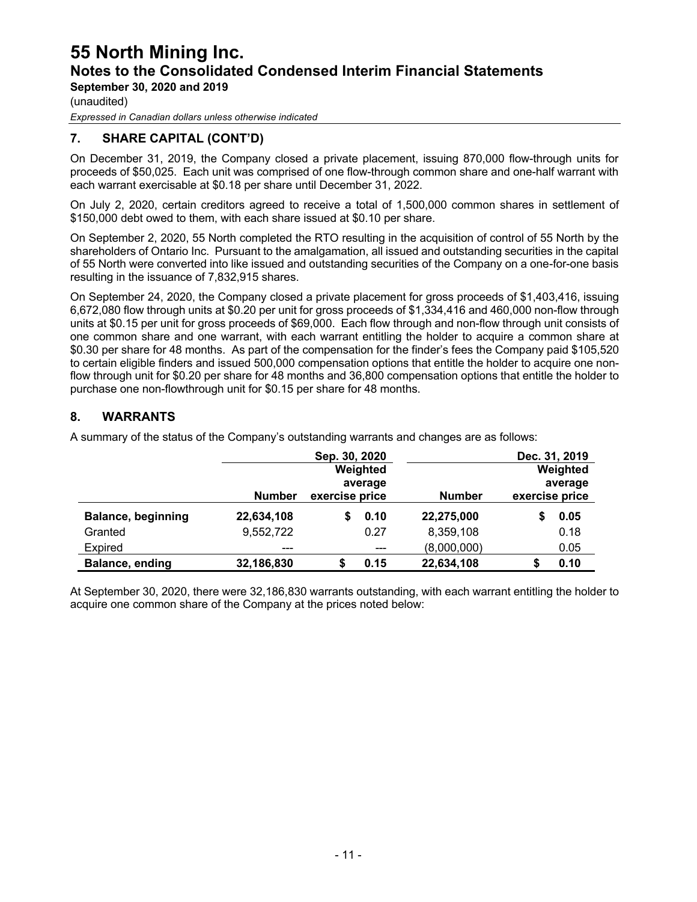**September 30, 2020 and 2019**

(unaudited)

*Expressed in Canadian dollars unless otherwise indicated*

### **7. SHARE CAPITAL (CONT'D)**

On December 31, 2019, the Company closed a private placement, issuing 870,000 flow-through units for proceeds of \$50,025. Each unit was comprised of one flow-through common share and one-half warrant with each warrant exercisable at \$0.18 per share until December 31, 2022.

On July 2, 2020, certain creditors agreed to receive a total of 1,500,000 common shares in settlement of \$150,000 debt owed to them, with each share issued at \$0.10 per share.

On September 2, 2020, 55 North completed the RTO resulting in the acquisition of control of 55 North by the shareholders of Ontario Inc. Pursuant to the amalgamation, all issued and outstanding securities in the capital of 55 North were converted into like issued and outstanding securities of the Company on a one-for-one basis resulting in the issuance of 7,832,915 shares.

On September 24, 2020, the Company closed a private placement for gross proceeds of \$1,403,416, issuing 6,672,080 flow through units at \$0.20 per unit for gross proceeds of \$1,334,416 and 460,000 non-flow through units at \$0.15 per unit for gross proceeds of \$69,000. Each flow through and non-flow through unit consists of one common share and one warrant, with each warrant entitling the holder to acquire a common share at \$0.30 per share for 48 months. As part of the compensation for the finder's fees the Company paid \$105,520 to certain eligible finders and issued 500,000 compensation options that entitle the holder to acquire one nonflow through unit for \$0.20 per share for 48 months and 36,800 compensation options that entitle the holder to purchase one non-flowthrough unit for \$0.15 per share for 48 months.

#### **8. WARRANTS**

|                           |               | Sep. 30, 2020  |         |               |                | Dec. 31, 2019 |  |         |
|---------------------------|---------------|----------------|---------|---------------|----------------|---------------|--|---------|
|                           |               | Weighted       |         |               |                | Weighted      |  |         |
|                           |               | average        |         |               |                |               |  | average |
|                           | <b>Number</b> | exercise price |         | <b>Number</b> | exercise price |               |  |         |
| <b>Balance, beginning</b> | 22,634,108    |                | 0.10    | 22,275,000    |                | 0.05          |  |         |
| Granted                   | 9,552,722     |                | 0.27    | 8,359,108     |                | 0.18          |  |         |
| Expired                   | $---$         |                | $- - -$ | (8,000,000)   |                | 0.05          |  |         |
| Balance, ending           | 32,186,830    | S              | 0.15    | 22,634,108    | S              | 0.10          |  |         |

A summary of the status of the Company's outstanding warrants and changes are as follows:

At September 30, 2020, there were 32,186,830 warrants outstanding, with each warrant entitling the holder to acquire one common share of the Company at the prices noted below: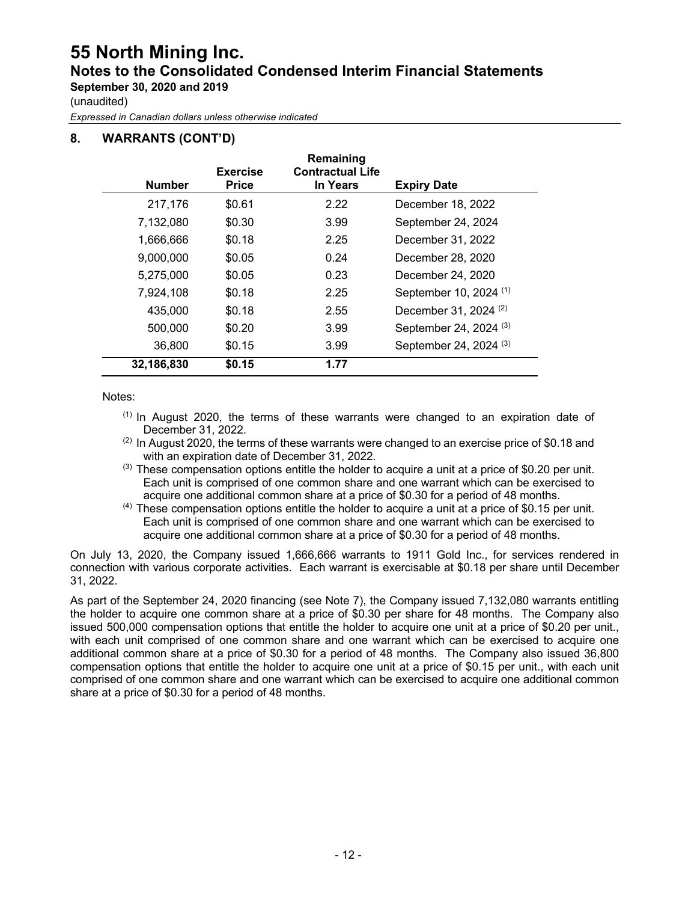## **55 North Mining Inc. Notes to the Consolidated Condensed Interim Financial Statements September 30, 2020 and 2019**

(unaudited)

*Expressed in Canadian dollars unless otherwise indicated*

### **8. WARRANTS (CONT'D)**

| <b>Number</b> | <b>Exercise</b><br><b>Price</b> | Remaining<br><b>Contractual Life</b><br>In Years | <b>Expiry Date</b>                |
|---------------|---------------------------------|--------------------------------------------------|-----------------------------------|
| 217,176       | \$0.61                          | 2.22                                             | December 18, 2022                 |
| 7,132,080     | \$0.30                          | 3.99                                             | September 24, 2024                |
| 1,666,666     | \$0.18                          | 2.25                                             | December 31, 2022                 |
| 9,000,000     | \$0.05                          | 0.24                                             | December 28, 2020                 |
| 5,275,000     | \$0.05                          | 0.23                                             | December 24, 2020                 |
| 7,924,108     | \$0.18                          | 2.25                                             | September 10, 2024 <sup>(1)</sup> |
| 435,000       | \$0.18                          | 2.55                                             | December 31, 2024 <sup>(2)</sup>  |
| 500,000       | \$0.20                          | 3.99                                             | September 24, 2024 <sup>(3)</sup> |
| 36,800        | \$0.15                          | 3.99                                             | September 24, 2024 <sup>(3)</sup> |
| 32,186,830    | \$0.15                          | 1.77                                             |                                   |

Notes:

- $<sup>(1)</sup>$  In August 2020, the terms of these warrants were changed to an expiration date of</sup> December 31, 2022.
- $(2)$  In August 2020, the terms of these warrants were changed to an exercise price of \$0.18 and with an expiration date of December 31, 2022.
- $^{(3)}$  These compensation options entitle the holder to acquire a unit at a price of \$0.20 per unit. Each unit is comprised of one common share and one warrant which can be exercised to acquire one additional common share at a price of \$0.30 for a period of 48 months.<br><sup>(4)</sup> These compensation options entitle the holder to acquire a unit at a price of \$0.15 per unit.
- Each unit is comprised of one common share and one warrant which can be exercised to acquire one additional common share at a price of \$0.30 for a period of 48 months.

On July 13, 2020, the Company issued 1,666,666 warrants to 1911 Gold Inc., for services rendered in connection with various corporate activities. Each warrant is exercisable at \$0.18 per share until December 31, 2022.

As part of the September 24, 2020 financing (see Note 7), the Company issued 7,132,080 warrants entitling the holder to acquire one common share at a price of \$0.30 per share for 48 months. The Company also issued 500,000 compensation options that entitle the holder to acquire one unit at a price of \$0.20 per unit., with each unit comprised of one common share and one warrant which can be exercised to acquire one additional common share at a price of \$0.30 for a period of 48 months. The Company also issued 36,800 compensation options that entitle the holder to acquire one unit at a price of \$0.15 per unit., with each unit comprised of one common share and one warrant which can be exercised to acquire one additional common share at a price of \$0.30 for a period of 48 months.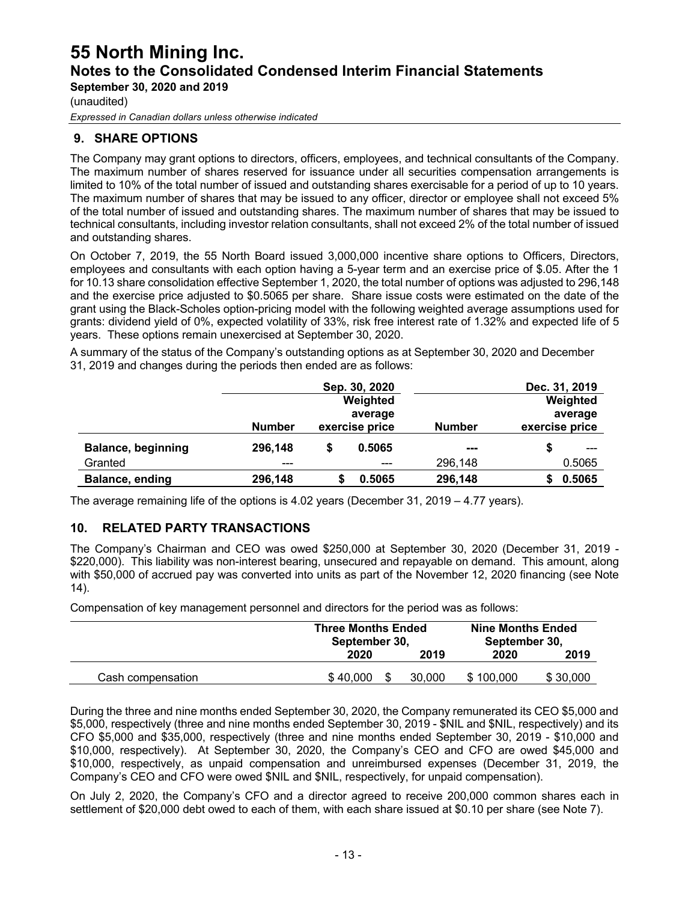**September 30, 2020 and 2019**

(unaudited)

*Expressed in Canadian dollars unless otherwise indicated*

### **9. SHARE OPTIONS**

The Company may grant options to directors, officers, employees, and technical consultants of the Company. The maximum number of shares reserved for issuance under all securities compensation arrangements is limited to 10% of the total number of issued and outstanding shares exercisable for a period of up to 10 years. The maximum number of shares that may be issued to any officer, director or employee shall not exceed 5% of the total number of issued and outstanding shares. The maximum number of shares that may be issued to technical consultants, including investor relation consultants, shall not exceed 2% of the total number of issued and outstanding shares.

On October 7, 2019, the 55 North Board issued 3,000,000 incentive share options to Officers, Directors, employees and consultants with each option having a 5-year term and an exercise price of \$.05. After the 1 for 10.13 share consolidation effective September 1, 2020, the total number of options was adjusted to 296,148 and the exercise price adjusted to \$0.5065 per share. Share issue costs were estimated on the date of the grant using the Black-Scholes option-pricing model with the following weighted average assumptions used for grants: dividend yield of 0%, expected volatility of 33%, risk free interest rate of 1.32% and expected life of 5 years. These options remain unexercised at September 30, 2020.

A summary of the status of the Company's outstanding options as at September 30, 2020 and December 31, 2019 and changes during the periods then ended are as follows:

|                           |               |                | Sep. 30, 2020 |               | Dec. 31, 2019  |  |
|---------------------------|---------------|----------------|---------------|---------------|----------------|--|
|                           |               |                | Weighted      |               | Weighted       |  |
|                           |               |                | average       |               | average        |  |
|                           | <b>Number</b> | exercise price |               | <b>Number</b> | exercise price |  |
| <b>Balance, beginning</b> | 296,148       |                | 0.5065        | ---           |                |  |
| Granted                   | ---           |                | ---           | 296,148       | 0.5065         |  |
| Balance, ending           | 296,148       |                | 0.5065        | 296,148       | 0.5065         |  |

The average remaining life of the options is 4.02 years (December 31, 2019 – 4.77 years).

#### **10. RELATED PARTY TRANSACTIONS**

The Company's Chairman and CEO was owed \$250,000 at September 30, 2020 (December 31, 2019 - \$220,000). This liability was non-interest bearing, unsecured and repayable on demand. This amount, along with \$50,000 of accrued pay was converted into units as part of the November 12, 2020 financing (see Note 14).

Compensation of key management personnel and directors for the period was as follows:

|                   | <b>Three Months Ended</b><br>September 30, |        | <b>Nine Months Ended</b><br>September 30, |          |  |
|-------------------|--------------------------------------------|--------|-------------------------------------------|----------|--|
|                   | 2020                                       | 2019   |                                           | 2019     |  |
| Cash compensation | \$40,000                                   | 30.000 | \$100,000                                 | \$30,000 |  |

During the three and nine months ended September 30, 2020, the Company remunerated its CEO \$5,000 and \$5,000, respectively (three and nine months ended September 30, 2019 - \$NIL and \$NIL, respectively) and its CFO \$5,000 and \$35,000, respectively (three and nine months ended September 30, 2019 - \$10,000 and \$10,000, respectively). At September 30, 2020, the Company's CEO and CFO are owed \$45,000 and \$10,000, respectively, as unpaid compensation and unreimbursed expenses (December 31, 2019, the Company's CEO and CFO were owed \$NIL and \$NIL, respectively, for unpaid compensation).

On July 2, 2020, the Company's CFO and a director agreed to receive 200,000 common shares each in settlement of \$20,000 debt owed to each of them, with each share issued at \$0.10 per share (see Note 7).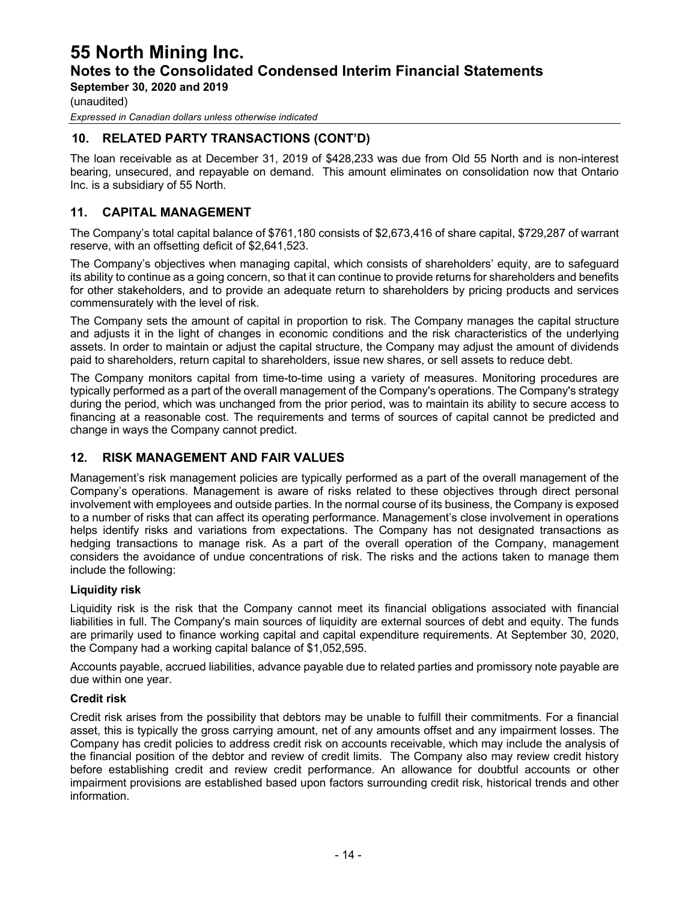**September 30, 2020 and 2019**

(unaudited)

*Expressed in Canadian dollars unless otherwise indicated*

### **10. RELATED PARTY TRANSACTIONS (CONT'D)**

The loan receivable as at December 31, 2019 of \$428,233 was due from Old 55 North and is non-interest bearing, unsecured, and repayable on demand. This amount eliminates on consolidation now that Ontario Inc. is a subsidiary of 55 North.

#### **11. CAPITAL MANAGEMENT**

The Company's total capital balance of \$761,180 consists of \$2,673,416 of share capital, \$729,287 of warrant reserve, with an offsetting deficit of \$2,641,523.

The Company's objectives when managing capital, which consists of shareholders' equity, are to safeguard its ability to continue as a going concern, so that it can continue to provide returns for shareholders and benefits for other stakeholders, and to provide an adequate return to shareholders by pricing products and services commensurately with the level of risk.

The Company sets the amount of capital in proportion to risk. The Company manages the capital structure and adjusts it in the light of changes in economic conditions and the risk characteristics of the underlying assets. In order to maintain or adjust the capital structure, the Company may adjust the amount of dividends paid to shareholders, return capital to shareholders, issue new shares, or sell assets to reduce debt.

The Company monitors capital from time-to-time using a variety of measures. Monitoring procedures are typically performed as a part of the overall management of the Company's operations. The Company's strategy during the period, which was unchanged from the prior period, was to maintain its ability to secure access to financing at a reasonable cost. The requirements and terms of sources of capital cannot be predicted and change in ways the Company cannot predict.

#### **12. RISK MANAGEMENT AND FAIR VALUES**

Management's risk management policies are typically performed as a part of the overall management of the Company's operations. Management is aware of risks related to these objectives through direct personal involvement with employees and outside parties. In the normal course of its business, the Company is exposed to a number of risks that can affect its operating performance. Management's close involvement in operations helps identify risks and variations from expectations. The Company has not designated transactions as hedging transactions to manage risk. As a part of the overall operation of the Company, management considers the avoidance of undue concentrations of risk. The risks and the actions taken to manage them include the following:

#### **Liquidity risk**

Liquidity risk is the risk that the Company cannot meet its financial obligations associated with financial liabilities in full. The Company's main sources of liquidity are external sources of debt and equity. The funds are primarily used to finance working capital and capital expenditure requirements. At September 30, 2020, the Company had a working capital balance of \$1,052,595.

Accounts payable, accrued liabilities, advance payable due to related parties and promissory note payable are due within one year.

#### **Credit risk**

Credit risk arises from the possibility that debtors may be unable to fulfill their commitments. For a financial asset, this is typically the gross carrying amount, net of any amounts offset and any impairment losses. The Company has credit policies to address credit risk on accounts receivable, which may include the analysis of the financial position of the debtor and review of credit limits. The Company also may review credit history before establishing credit and review credit performance. An allowance for doubtful accounts or other impairment provisions are established based upon factors surrounding credit risk, historical trends and other information.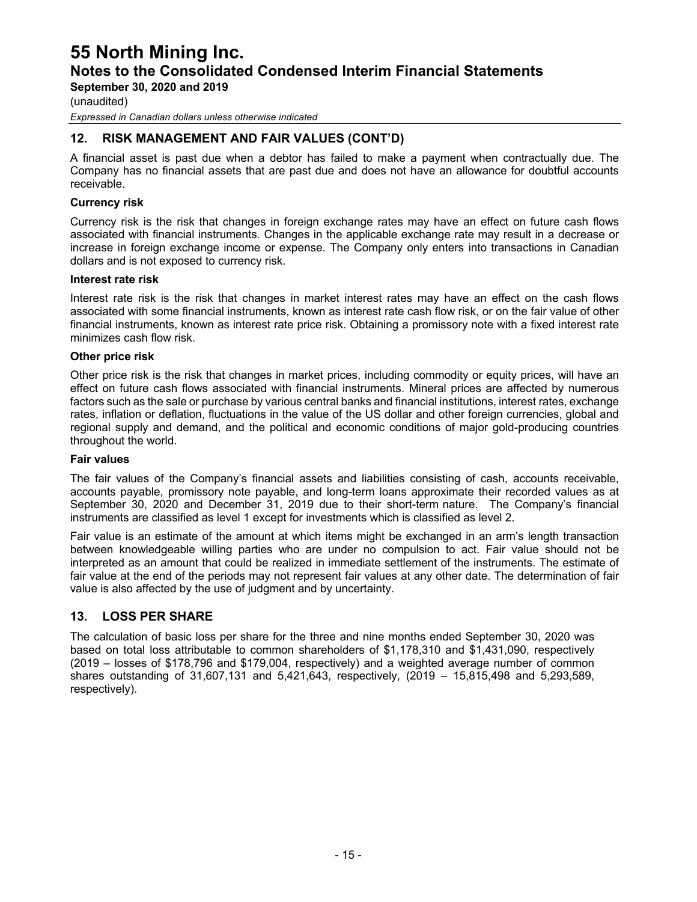**September 30, 2020 and 2019**

(unaudited)

*Expressed in Canadian dollars unless otherwise indicated*

### **12. RISK MANAGEMENT AND FAIR VALUES (CONT'D)**

A financial asset is past due when a debtor has failed to make a payment when contractually due. The Company has no financial assets that are past due and does not have an allowance for doubtful accounts receivable.

#### **Currency risk**

Currency risk is the risk that changes in foreign exchange rates may have an effect on future cash flows associated with financial instruments. Changes in the applicable exchange rate may result in a decrease or increase in foreign exchange income or expense. The Company only enters into transactions in Canadian dollars and is not exposed to currency risk.

#### **Interest rate risk**

Interest rate risk is the risk that changes in market interest rates may have an effect on the cash flows associated with some financial instruments, known as interest rate cash flow risk, or on the fair value of other financial instruments, known as interest rate price risk. Obtaining a promissory note with a fixed interest rate minimizes cash flow risk.

#### **Other price risk**

Other price risk is the risk that changes in market prices, including commodity or equity prices, will have an effect on future cash flows associated with financial instruments. Mineral prices are affected by numerous factors such as the sale or purchase by various central banks and financial institutions, interest rates, exchange rates, inflation or deflation, fluctuations in the value of the US dollar and other foreign currencies, global and regional supply and demand, and the political and economic conditions of major gold-producing countries throughout the world.

#### **Fair values**

The fair values of the Company's financial assets and liabilities consisting of cash, accounts receivable, accounts payable, promissory note payable, and long-term loans approximate their recorded values as at September 30, 2020 and December 31, 2019 due to their short-term nature. The Company's financial instruments are classified as level 1 except for investments which is classified as level 2.

Fair value is an estimate of the amount at which items might be exchanged in an arm's length transaction between knowledgeable willing parties who are under no compulsion to act. Fair value should not be interpreted as an amount that could be realized in immediate settlement of the instruments. The estimate of fair value at the end of the periods may not represent fair values at any other date. The determination of fair value is also affected by the use of judgment and by uncertainty.

#### **13. LOSS PER SHARE**

The calculation of basic loss per share for the three and nine months ended September 30, 2020 was based on total loss attributable to common shareholders of \$1,178,310 and \$1,431,090, respectively (2019 – losses of \$178,796 and \$179,004, respectively) and a weighted average number of common shares outstanding of 31,607,131 and 5,421,643, respectively, (2019 – 15,815,498 and 5,293,589, respectively).